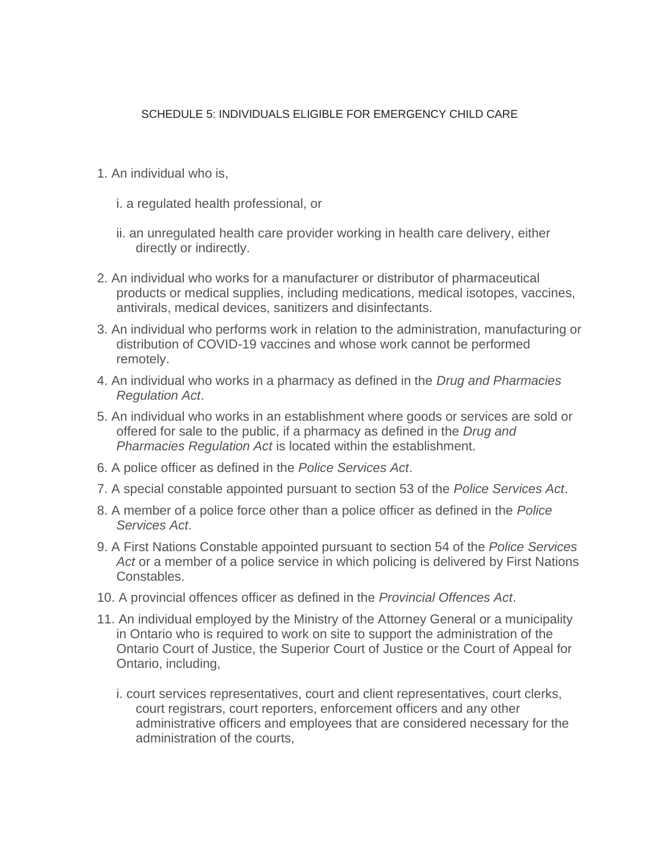## SCHEDULE 5: INDIVIDUALS ELIGIBLE FOR EMERGENCY CHILD CARE

- 1. An individual who is,
	- i. a regulated health professional, or
	- ii. an unregulated health care provider working in health care delivery, either directly or indirectly.
- 2. An individual who works for a manufacturer or distributor of pharmaceutical products or medical supplies, including medications, medical isotopes, vaccines, antivirals, medical devices, sanitizers and disinfectants.
- 3. An individual who performs work in relation to the administration, manufacturing or distribution of COVID-19 vaccines and whose work cannot be performed remotely.
- 4. An individual who works in a pharmacy as defined in the *Drug and Pharmacies Regulation Act*.
- 5. An individual who works in an establishment where goods or services are sold or offered for sale to the public, if a pharmacy as defined in the *Drug and Pharmacies Regulation Act* is located within the establishment.
- 6. A police officer as defined in the *Police Services Act*.
- 7. A special constable appointed pursuant to section 53 of the *Police Services Act*.
- 8. A member of a police force other than a police officer as defined in the *Police Services Act*.
- 9. A First Nations Constable appointed pursuant to section 54 of the *Police Services Act* or a member of a police service in which policing is delivered by First Nations Constables.
- 10. A provincial offences officer as defined in the *Provincial Offences Act*.
- 11. An individual employed by the Ministry of the Attorney General or a municipality in Ontario who is required to work on site to support the administration of the Ontario Court of Justice, the Superior Court of Justice or the Court of Appeal for Ontario, including,
	- i. court services representatives, court and client representatives, court clerks, court registrars, court reporters, enforcement officers and any other administrative officers and employees that are considered necessary for the administration of the courts,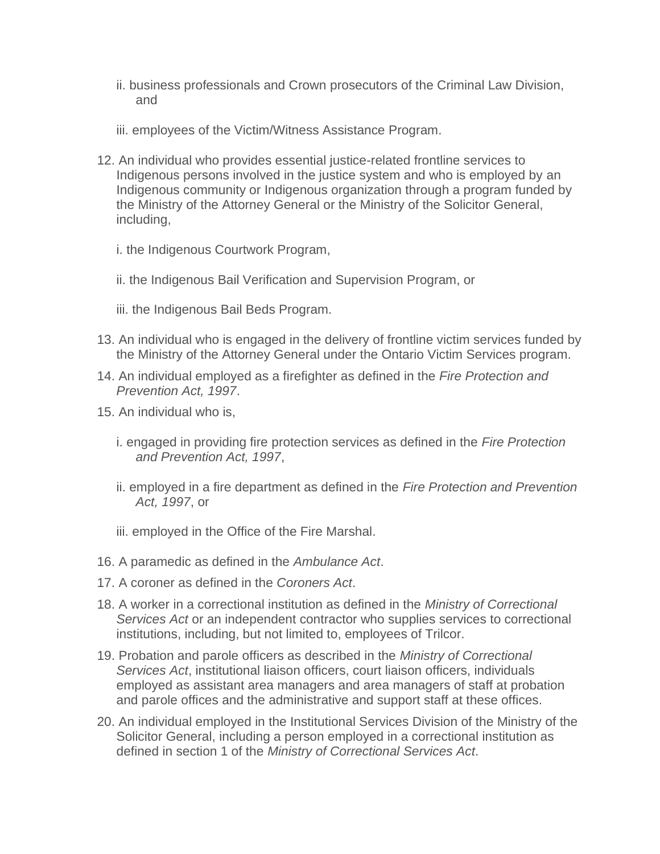- ii. business professionals and Crown prosecutors of the Criminal Law Division, and
- iii. employees of the Victim/Witness Assistance Program.
- 12. An individual who provides essential justice-related frontline services to Indigenous persons involved in the justice system and who is employed by an Indigenous community or Indigenous organization through a program funded by the Ministry of the Attorney General or the Ministry of the Solicitor General, including,
	- i. the Indigenous Courtwork Program,
	- ii. the Indigenous Bail Verification and Supervision Program, or
	- iii. the Indigenous Bail Beds Program.
- 13. An individual who is engaged in the delivery of frontline victim services funded by the Ministry of the Attorney General under the Ontario Victim Services program.
- 14. An individual employed as a firefighter as defined in the *Fire Protection and Prevention Act, 1997*.
- 15. An individual who is,
	- i. engaged in providing fire protection services as defined in the *Fire Protection and Prevention Act, 1997*,
	- ii. employed in a fire department as defined in the *Fire Protection and Prevention Act, 1997*, or
	- iii. employed in the Office of the Fire Marshal.
- 16. A paramedic as defined in the *Ambulance Act*.
- 17. A coroner as defined in the *Coroners Act*.
- 18. A worker in a correctional institution as defined in the *Ministry of Correctional Services Act* or an independent contractor who supplies services to correctional institutions, including, but not limited to, employees of Trilcor.
- 19. Probation and parole officers as described in the *Ministry of Correctional Services Act*, institutional liaison officers, court liaison officers, individuals employed as assistant area managers and area managers of staff at probation and parole offices and the administrative and support staff at these offices.
- 20. An individual employed in the Institutional Services Division of the Ministry of the Solicitor General, including a person employed in a correctional institution as defined in section 1 of the *Ministry of Correctional Services Act*.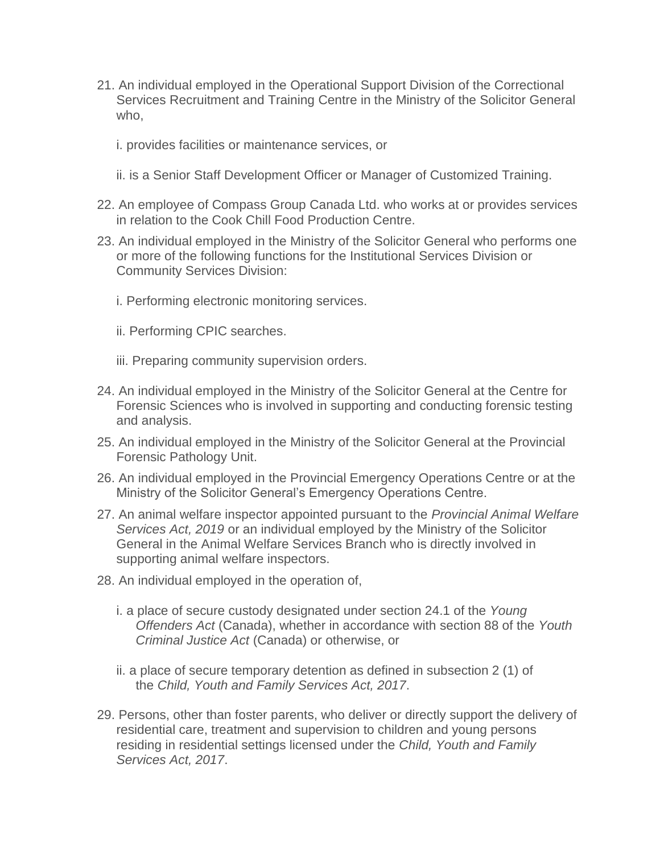- 21. An individual employed in the Operational Support Division of the Correctional Services Recruitment and Training Centre in the Ministry of the Solicitor General who,
	- i. provides facilities or maintenance services, or
	- ii. is a Senior Staff Development Officer or Manager of Customized Training.
- 22. An employee of Compass Group Canada Ltd. who works at or provides services in relation to the Cook Chill Food Production Centre.
- 23. An individual employed in the Ministry of the Solicitor General who performs one or more of the following functions for the Institutional Services Division or Community Services Division:
	- i. Performing electronic monitoring services.
	- ii. Performing CPIC searches.
	- iii. Preparing community supervision orders.
- 24. An individual employed in the Ministry of the Solicitor General at the Centre for Forensic Sciences who is involved in supporting and conducting forensic testing and analysis.
- 25. An individual employed in the Ministry of the Solicitor General at the Provincial Forensic Pathology Unit.
- 26. An individual employed in the Provincial Emergency Operations Centre or at the Ministry of the Solicitor General's Emergency Operations Centre.
- 27. An animal welfare inspector appointed pursuant to the *Provincial Animal Welfare Services Act, 2019* or an individual employed by the Ministry of the Solicitor General in the Animal Welfare Services Branch who is directly involved in supporting animal welfare inspectors.
- 28. An individual employed in the operation of,
	- i. a place of secure custody designated under section 24.1 of the *Young Offenders Act* (Canada), whether in accordance with section 88 of the *Youth Criminal Justice Act* (Canada) or otherwise, or
	- ii. a place of secure temporary detention as defined in subsection 2 (1) of the *Child, Youth and Family Services Act, 2017*.
- 29. Persons, other than foster parents, who deliver or directly support the delivery of residential care, treatment and supervision to children and young persons residing in residential settings licensed under the *Child, Youth and Family Services Act, 2017*.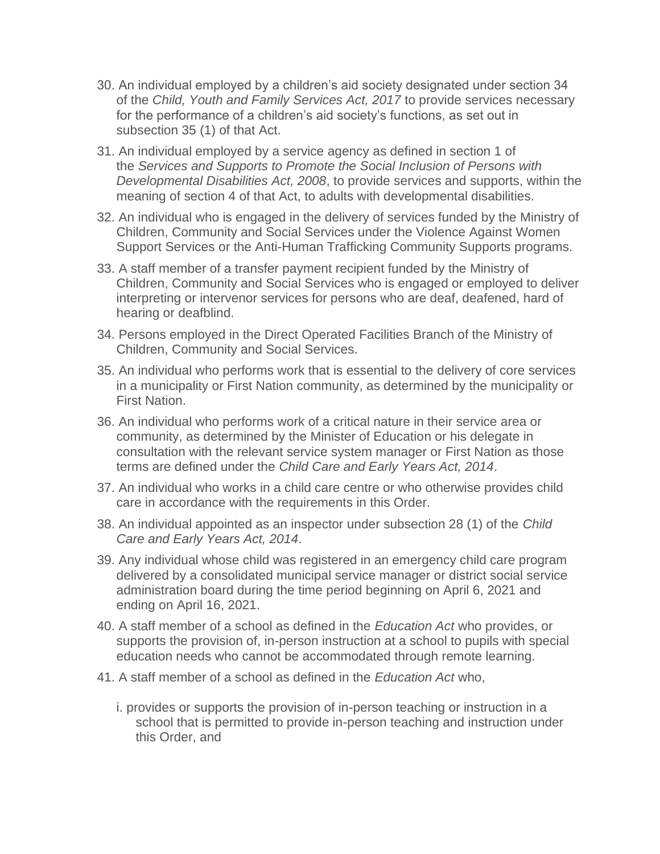- 30. An individual employed by a children's aid society designated under section 34 of the *Child, Youth and Family Services Act, 2017* to provide services necessary for the performance of a children's aid society's functions, as set out in subsection 35 (1) of that Act.
- 31. An individual employed by a service agency as defined in section 1 of the *Services and Supports to Promote the Social Inclusion of Persons with Developmental Disabilities Act, 2008*, to provide services and supports, within the meaning of section 4 of that Act, to adults with developmental disabilities.
- 32. An individual who is engaged in the delivery of services funded by the Ministry of Children, Community and Social Services under the Violence Against Women Support Services or the Anti-Human Trafficking Community Supports programs.
- 33. A staff member of a transfer payment recipient funded by the Ministry of Children, Community and Social Services who is engaged or employed to deliver interpreting or intervenor services for persons who are deaf, deafened, hard of hearing or deafblind.
- 34. Persons employed in the Direct Operated Facilities Branch of the Ministry of Children, Community and Social Services.
- 35. An individual who performs work that is essential to the delivery of core services in a municipality or First Nation community, as determined by the municipality or First Nation.
- 36. An individual who performs work of a critical nature in their service area or community, as determined by the Minister of Education or his delegate in consultation with the relevant service system manager or First Nation as those terms are defined under the *Child Care and Early Years Act, 2014*.
- 37. An individual who works in a child care centre or who otherwise provides child care in accordance with the requirements in this Order.
- 38. An individual appointed as an inspector under subsection 28 (1) of the *Child Care and Early Years Act, 2014*.
- 39. Any individual whose child was registered in an emergency child care program delivered by a consolidated municipal service manager or district social service administration board during the time period beginning on April 6, 2021 and ending on April 16, 2021.
- 40. A staff member of a school as defined in the *Education Act* who provides, or supports the provision of, in-person instruction at a school to pupils with special education needs who cannot be accommodated through remote learning.
- 41. A staff member of a school as defined in the *Education Act* who,
	- i. provides or supports the provision of in-person teaching or instruction in a school that is permitted to provide in-person teaching and instruction under this Order, and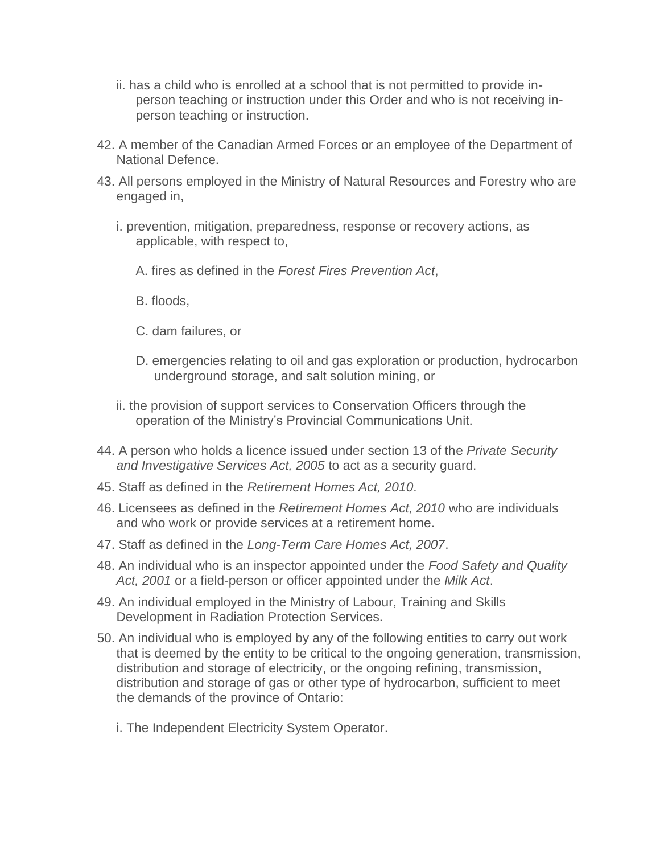- ii. has a child who is enrolled at a school that is not permitted to provide inperson teaching or instruction under this Order and who is not receiving inperson teaching or instruction.
- 42. A member of the Canadian Armed Forces or an employee of the Department of National Defence.
- 43. All persons employed in the Ministry of Natural Resources and Forestry who are engaged in,
	- i. prevention, mitigation, preparedness, response or recovery actions, as applicable, with respect to,
		- A. fires as defined in the *Forest Fires Prevention Act*,
		- B. floods,
		- C. dam failures, or
		- D. emergencies relating to oil and gas exploration or production, hydrocarbon underground storage, and salt solution mining, or
	- ii. the provision of support services to Conservation Officers through the operation of the Ministry's Provincial Communications Unit.
- 44. A person who holds a licence issued under section 13 of the *Private Security and Investigative Services Act, 2005* to act as a security guard.
- 45. Staff as defined in the *Retirement Homes Act, 2010*.
- 46. Licensees as defined in the *Retirement Homes Act, 2010* who are individuals and who work or provide services at a retirement home.
- 47. Staff as defined in the *Long-Term Care Homes Act, 2007*.
- 48. An individual who is an inspector appointed under the *Food Safety and Quality Act, 2001* or a field-person or officer appointed under the *Milk Act*.
- 49. An individual employed in the Ministry of Labour, Training and Skills Development in Radiation Protection Services.
- 50. An individual who is employed by any of the following entities to carry out work that is deemed by the entity to be critical to the ongoing generation, transmission, distribution and storage of electricity, or the ongoing refining, transmission, distribution and storage of gas or other type of hydrocarbon, sufficient to meet the demands of the province of Ontario:
	- i. The Independent Electricity System Operator.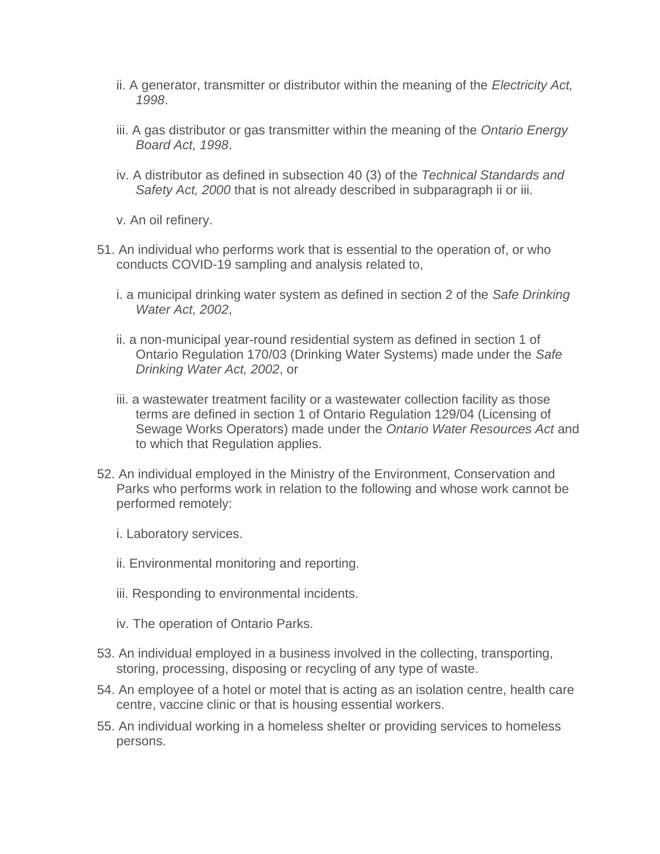- ii. A generator, transmitter or distributor within the meaning of the *Electricity Act, 1998*.
- iii. A gas distributor or gas transmitter within the meaning of the *Ontario Energy Board Act, 1998*.
- iv. A distributor as defined in subsection 40 (3) of the *Technical Standards and Safety Act, 2000* that is not already described in subparagraph ii or iii.
- v. An oil refinery.
- 51. An individual who performs work that is essential to the operation of, or who conducts COVID-19 sampling and analysis related to,
	- i. a municipal drinking water system as defined in section 2 of the *Safe Drinking Water Act, 2002*,
	- ii. a non-municipal year-round residential system as defined in section 1 of Ontario Regulation 170/03 (Drinking Water Systems) made under the *Safe Drinking Water Act, 2002*, or
	- iii. a wastewater treatment facility or a wastewater collection facility as those terms are defined in section 1 of Ontario Regulation 129/04 (Licensing of Sewage Works Operators) made under the *Ontario Water Resources Act* and to which that Regulation applies.
- 52. An individual employed in the Ministry of the Environment, Conservation and Parks who performs work in relation to the following and whose work cannot be performed remotely:
	- i. Laboratory services.
	- ii. Environmental monitoring and reporting.
	- iii. Responding to environmental incidents.
	- iv. The operation of Ontario Parks.
- 53. An individual employed in a business involved in the collecting, transporting, storing, processing, disposing or recycling of any type of waste.
- 54. An employee of a hotel or motel that is acting as an isolation centre, health care centre, vaccine clinic or that is housing essential workers.
- 55. An individual working in a homeless shelter or providing services to homeless persons.